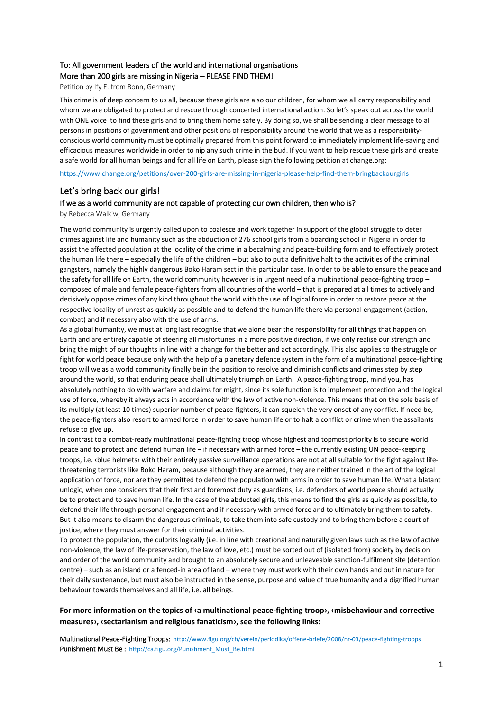# To: All government leaders of the world and international organisations More than 200 girls are missing in Nigeria – PLEASE FIND THEM!

Petition by Ify E. from Bonn, Germany

This crime is of deep concern to us all, because these girls are also our children, for whom we all carry responsibility and whom we are obligated to protect and rescue through concerted international action. So let's speak out across the world with ONE voice to find these girls and to bring them home safely. By doing so, we shall be sending a clear message to all persons in positions of government and other positions of responsibility around the world that we as a responsibilityconscious world community must be optimally prepared from this point forward to immediately implement life-saving and efficacious measures worldwide in order to nip any such crime in the bud. If you want to help rescue these girls and create a safe world for all human beings and for all life on Earth, please sign the following petition at change.org:

https://www.change.org/petitions/over-200-girls-are-missing-in-nigeria-please-help-find-them-bringbackourgirls

## Let's bring back our girls!

#### If we as a world community are not capable of protecting our own children, then who is?

by Rebecca Walkiw, Germany

The world community is urgently called upon to coalesce and work together in support of the global struggle to deter crimes against life and humanity such as the abduction of 276 school girls from a boarding school in Nigeria in order to assist the affected population at the locality of the crime in a becalming and peace-building form and to effectively protect the human life there – especially the life of the children – but also to put a definitive halt to the activities of the criminal gangsters, namely the highly dangerous Boko Haram sect in this particular case. In order to be able to ensure the peace and the safety for all life on Earth, the world community however is in urgent need of a multinational peace-fighting troop – composed of male and female peace-fighters from all countries of the world – that is prepared at all times to actively and decisively oppose crimes of any kind throughout the world with the use of logical force in order to restore peace at the respective locality of unrest as quickly as possible and to defend the human life there via personal engagement (action, combat) and if necessary also with the use of arms.

As a global humanity, we must at long last recognise that we alone bear the responsibility for all things that happen on Earth and are entirely capable of steering all misfortunes in a more positive direction, if we only realise our strength and bring the might of our thoughts in line with a change for the better and act accordingly. This also applies to the struggle or fight for world peace because only with the help of a planetary defence system in the form of a multinational peace-fighting troop will we as a world community finally be in the position to resolve and diminish conflicts and crimes step by step around the world, so that enduring peace shall ultimately triumph on Earth. A peace-fighting troop, mind you, has absolutely nothing to do with warfare and claims for might, since its sole function is to implement protection and the logical use of force, whereby it always acts in accordance with the law of active non-violence. This means that on the sole basis of its multiply (at least 10 times) superior number of peace-fighters, it can squelch the very onset of any conflict. If need be, the peace-fighters also resort to armed force in order to save human life or to halt a conflict or crime when the assailants refuse to give up.

In contrast to a combat-ready multinational peace-fighting troop whose highest and topmost priority is to secure world peace and to protect and defend human life – if necessary with armed force – the currently existing UN peace-keeping troops, i.e. ‹blue helmets› with their entirely passive surveillance operations are not at all suitable for the fight against lifethreatening terrorists like Boko Haram, because although they are armed, they are neither trained in the art of the logical application of force, nor are they permitted to defend the population with arms in order to save human life. What a blatant unlogic, when one considers that their first and foremost duty as guardians, i.e. defenders of world peace should actually be to protect and to save human life. In the case of the abducted girls, this means to find the girls as quickly as possible, to defend their life through personal engagement and if necessary with armed force and to ultimately bring them to safety. But it also means to disarm the dangerous criminals, to take them into safe custody and to bring them before a court of justice, where they must answer for their criminal activities.

To protect the population, the culprits logically (i.e. in line with creational and naturally given laws such as the law of active non-violence, the law of life-preservation, the law of love, etc.) must be sorted out of (isolated from) society by decision and order of the world community and brought to an absolutely secure and unleaveable sanction-fulfilment site (detention centre) – such as an island or a fenced-in area of land – where they must work with their own hands and out in nature for their daily sustenance, but must also be instructed in the sense, purpose and value of true humanity and a dignified human behaviour towards themselves and all life, i.e. all beings.

### **For more information on the topics of ‹a multinational peace-fighting troop›, ‹misbehaviour and corrective measures›, ‹sectarianism and religious fanaticism›, see the following links:**

Multinational Peace-Fighting Troops: http://www.figu.org/ch/verein/periodika/offene-briefe/2008/nr-03/peace-fighting-troops Punishment Must Be : http://ca.figu.org/Punishment\_Must\_Be.html